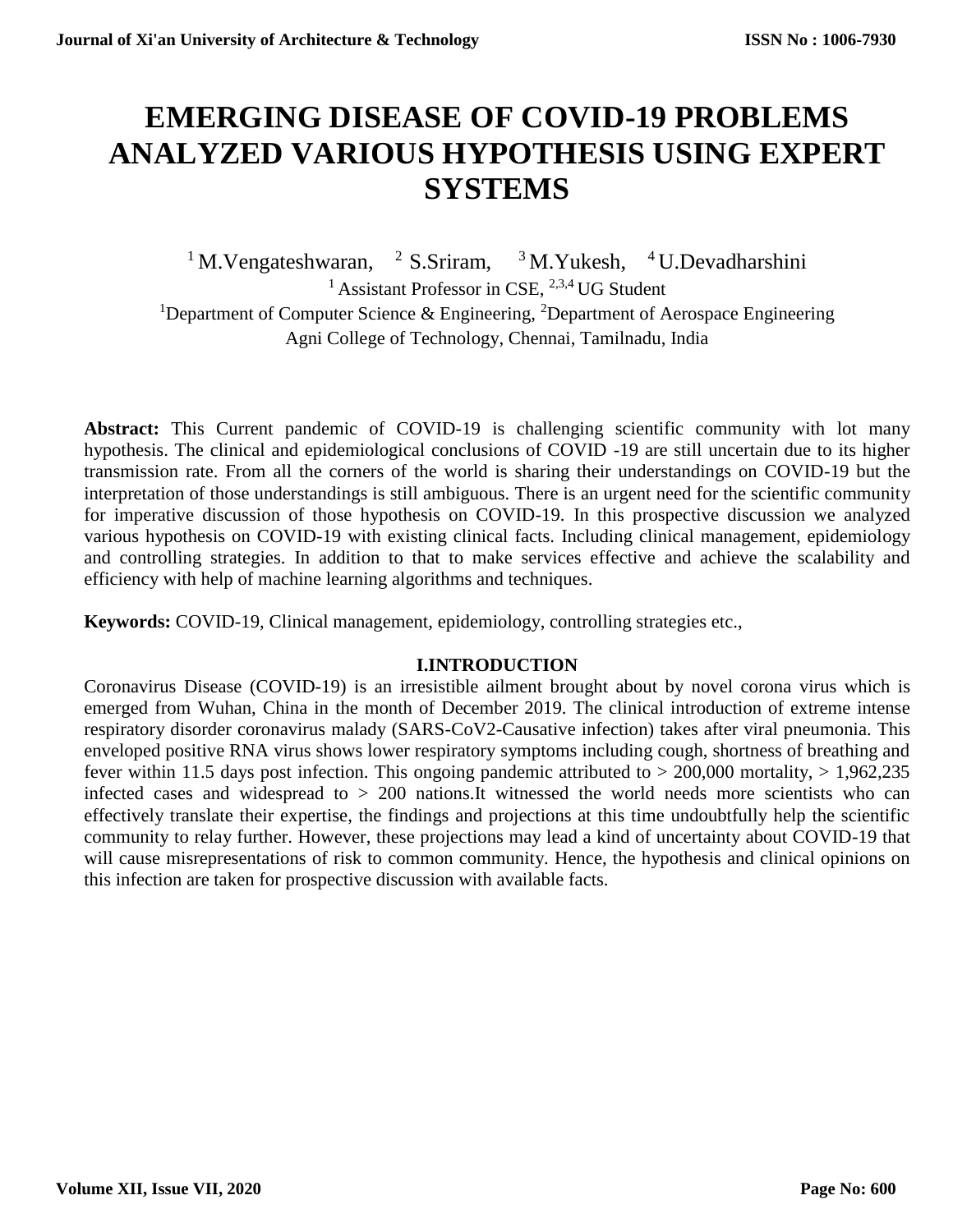# **EMERGING DISEASE OF COVID-19 PROBLEMS ANALYZED VARIOUS HYPOTHESIS USING EXPERT SYSTEMS**

<sup>1</sup>M.Vengateshwaran, <sup>2</sup>S.Sriram, <sup>3</sup>M.Yukesh, <sup>4</sup>U.Devadharshini <sup>1</sup> Assistant Professor in CSE,  $^{2,3,4}$  UG Student <sup>1</sup>Department of Computer Science & Engineering, <sup>2</sup>Department of Aerospace Engineering Agni College of Technology, Chennai, Tamilnadu, India

Abstract: This Current pandemic of COVID-19 is challenging scientific community with lot many hypothesis. The clinical and epidemiological conclusions of COVID -19 are still uncertain due to its higher transmission rate. From all the corners of the world is sharing their understandings on COVID-19 but the interpretation of those understandings is still ambiguous. There is an urgent need for the scientific community for imperative discussion of those hypothesis on COVID-19. In this prospective discussion we analyzed various hypothesis on COVID-19 with existing clinical facts. Including clinical management, epidemiology and controlling strategies. In addition to that to make services effective and achieve the scalability and efficiency with help of machine learning algorithms and techniques.

**Keywords:** COVID-19, Clinical management, epidemiology, controlling strategies etc.,

#### **I.INTRODUCTION**

Coronavirus Disease (COVID-19) is an irresistible ailment brought about by novel corona virus which is emerged from Wuhan, China in the month of December 2019. The clinical introduction of extreme intense respiratory disorder coronavirus malady (SARS-CoV2-Causative infection) takes after viral pneumonia. This enveloped positive RNA virus shows lower respiratory symptoms including cough, shortness of breathing and fever within 11.5 days post infection. This ongoing pandemic attributed to  $> 200,000$  mortality,  $> 1,962,235$ infected cases and widespread to > 200 nations.It witnessed the world needs more scientists who can effectively translate their expertise, the findings and projections at this time undoubtfully help the scientific community to relay further. However, these projections may lead a kind of uncertainty about COVID-19 that will cause misrepresentations of risk to common community. Hence, the hypothesis and clinical opinions on this infection are taken for prospective discussion with available facts.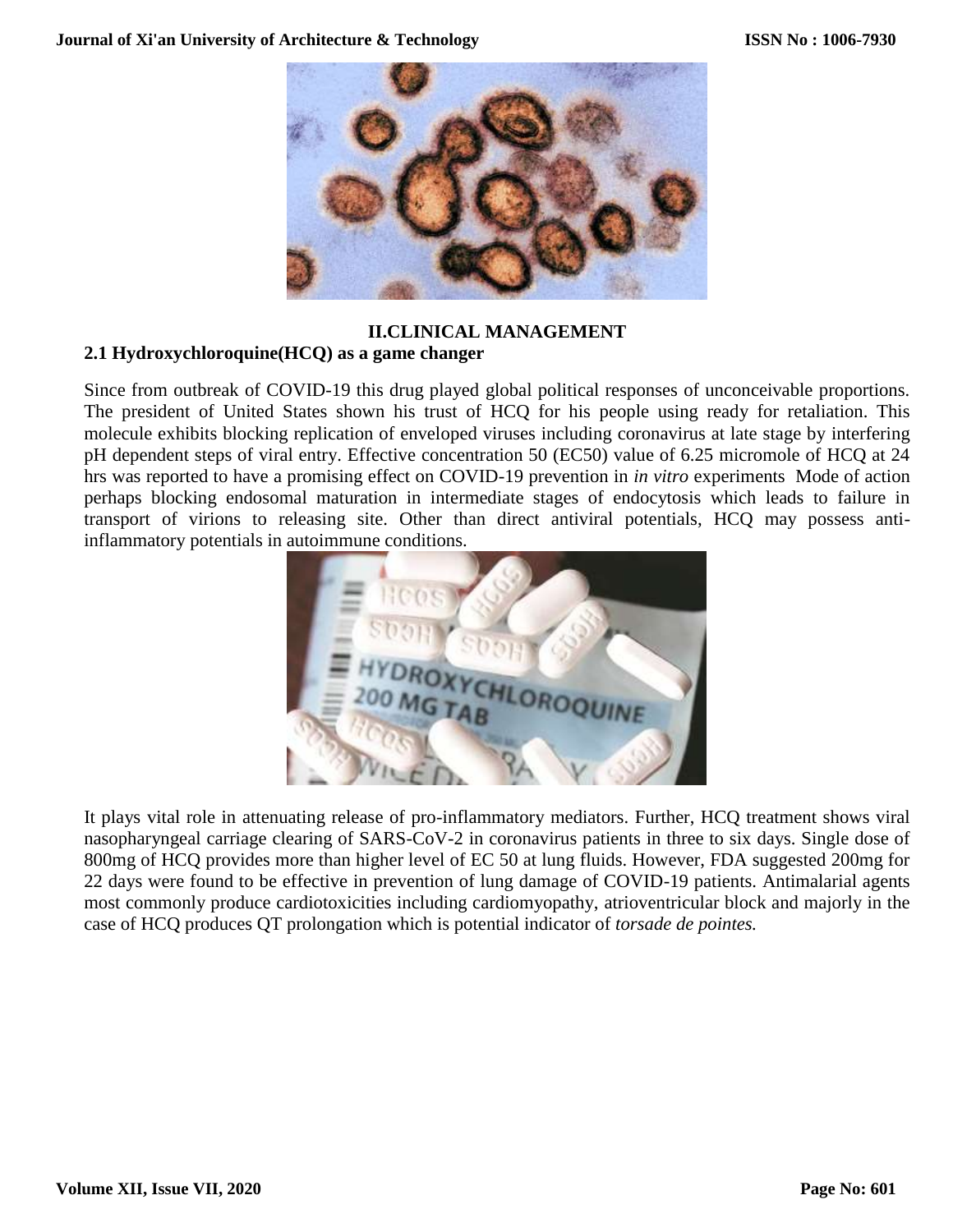

#### **II.CLINICAL MANAGEMENT**

#### **2.1 Hydroxychloroquine(HCQ) as a game changer**

Since from outbreak of COVID-19 this drug played global political responses of unconceivable proportions. The president of United States shown his trust of HCQ for his people using ready for retaliation. This molecule exhibits blocking replication of enveloped viruses including coronavirus at late stage by interfering pH dependent steps of viral entry. Effective concentration 50 (EC50) value of 6.25 micromole of HCQ at 24 hrs was reported to have a promising effect on COVID-19 prevention in *in vitro* experiments Mode of action perhaps blocking endosomal maturation in intermediate stages of endocytosis which leads to failure in transport of virions to releasing site. Other than direct antiviral potentials, HCQ may possess antiinflammatory potentials in autoimmune conditions.



It plays vital role in attenuating release of pro-inflammatory mediators. Further, HCQ treatment shows viral nasopharyngeal carriage clearing of SARS-CoV-2 in coronavirus patients in three to six days. Single dose of 800mg of HCQ provides more than higher level of EC 50 at lung fluids. However, FDA suggested 200mg for 22 days were found to be effective in prevention of lung damage of COVID-19 patients. Antimalarial agents most commonly produce cardiotoxicities including cardiomyopathy, atrioventricular block and majorly in the case of HCQ produces QT prolongation which is potential indicator of *torsade de pointes.*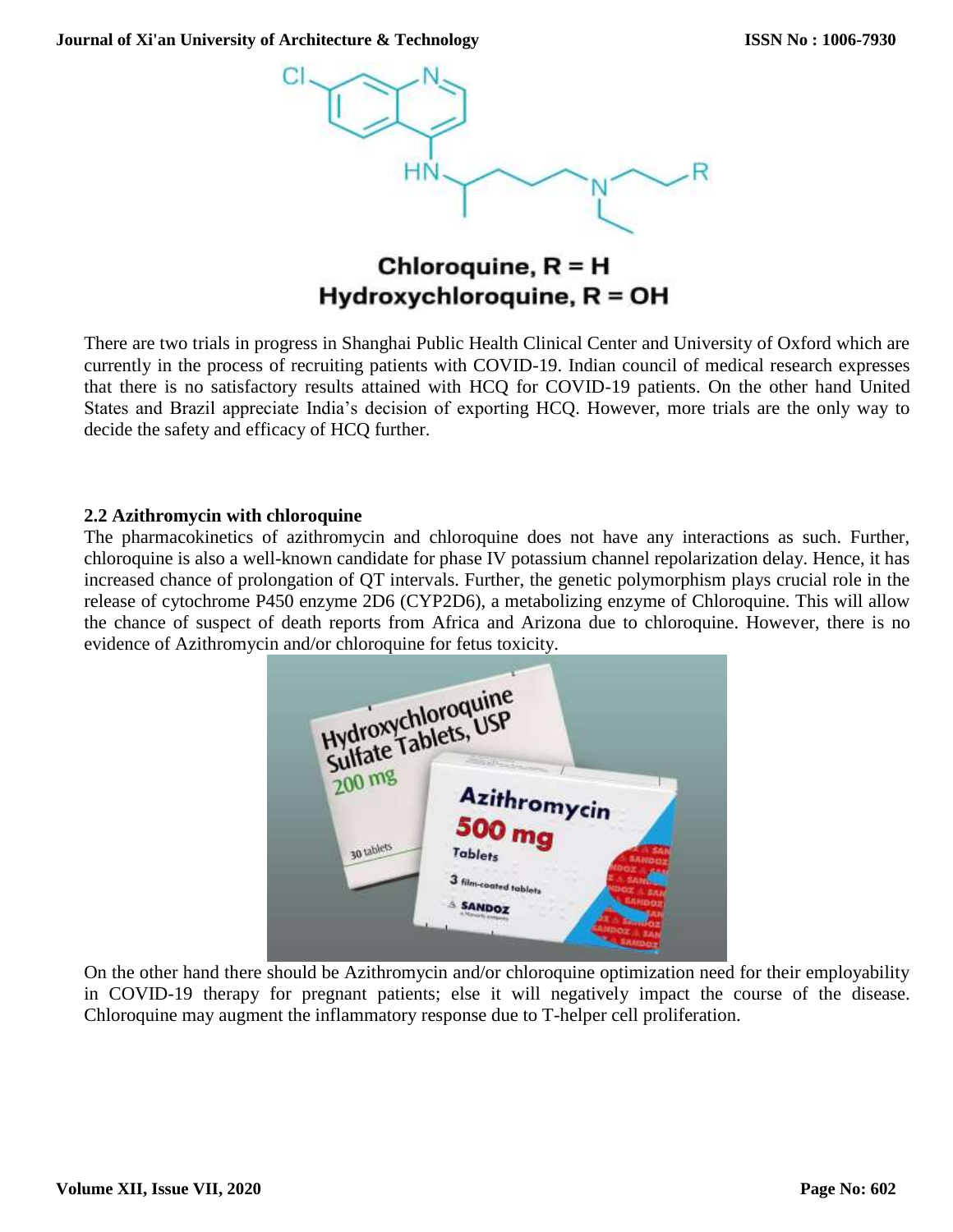

## Chloroquine,  $R = H$ Hydroxychloroquine, R = OH

There are two trials in progress in Shanghai Public Health Clinical Center and University of Oxford which are currently in the process of recruiting patients with COVID-19. Indian council of medical research expresses that there is no satisfactory results attained with HCQ for COVID-19 patients. On the other hand United States and Brazil appreciate India's decision of exporting HCQ. However, more trials are the only way to decide the safety and efficacy of HCQ further.

#### **2.2 Azithromycin with chloroquine**

The pharmacokinetics of azithromycin and chloroquine does not have any interactions as such. Further, chloroquine is also a well-known candidate for phase IV potassium channel repolarization delay. Hence, it has increased chance of prolongation of QT intervals. Further, the genetic polymorphism plays crucial role in the release of cytochrome P450 enzyme 2D6 (CYP2D6), a metabolizing enzyme of Chloroquine. This will allow the chance of suspect of death reports from Africa and Arizona due to chloroquine. However, there is no evidence of Azithromycin and/or chloroquine for fetus toxicity.



On the other hand there should be Azithromycin and/or chloroquine optimization need for their employability in COVID-19 therapy for pregnant patients; else it will negatively impact the course of the disease. Chloroquine may augment the inflammatory response due to T-helper cell proliferation.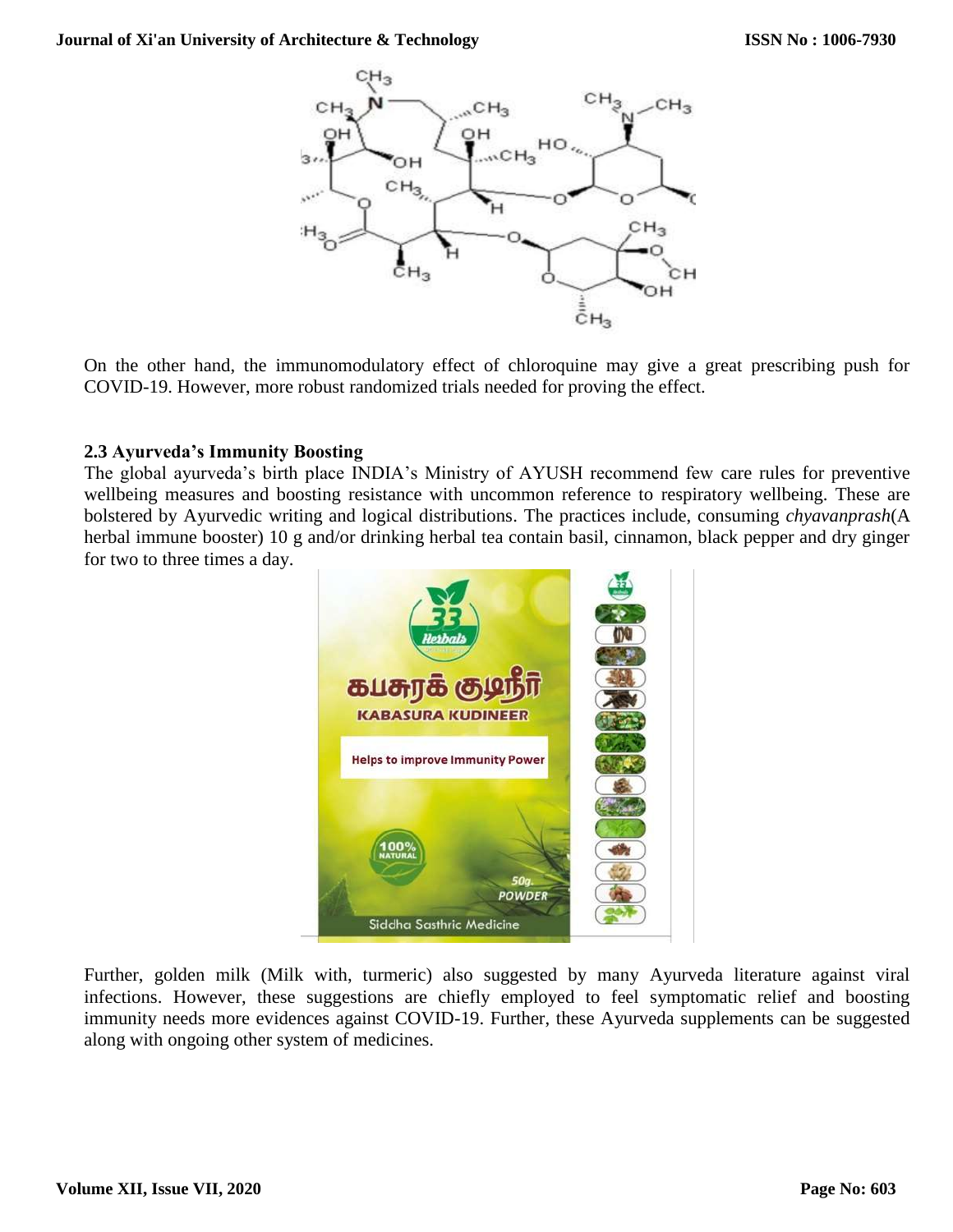

On the other hand, the immunomodulatory effect of chloroquine may give a great prescribing push for COVID-19. However, more robust randomized trials needed for proving the effect.

#### **2.3 Ayurveda's Immunity Boosting**

The global ayurveda's birth place INDIA's Ministry of AYUSH recommend few care rules for preventive wellbeing measures and boosting resistance with uncommon reference to respiratory wellbeing. These are bolstered by Ayurvedic writing and logical distributions. The practices include, consuming *chyavanprash*(A herbal immune booster) 10 g and/or drinking herbal tea contain basil, cinnamon, black pepper and dry ginger for two to three times a day.



Further, golden milk (Milk with, turmeric) also suggested by many Ayurveda literature against viral infections. However, these suggestions are chiefly employed to feel symptomatic relief and boosting immunity needs more evidences against COVID-19. Further, these Ayurveda supplements can be suggested along with ongoing other system of medicines.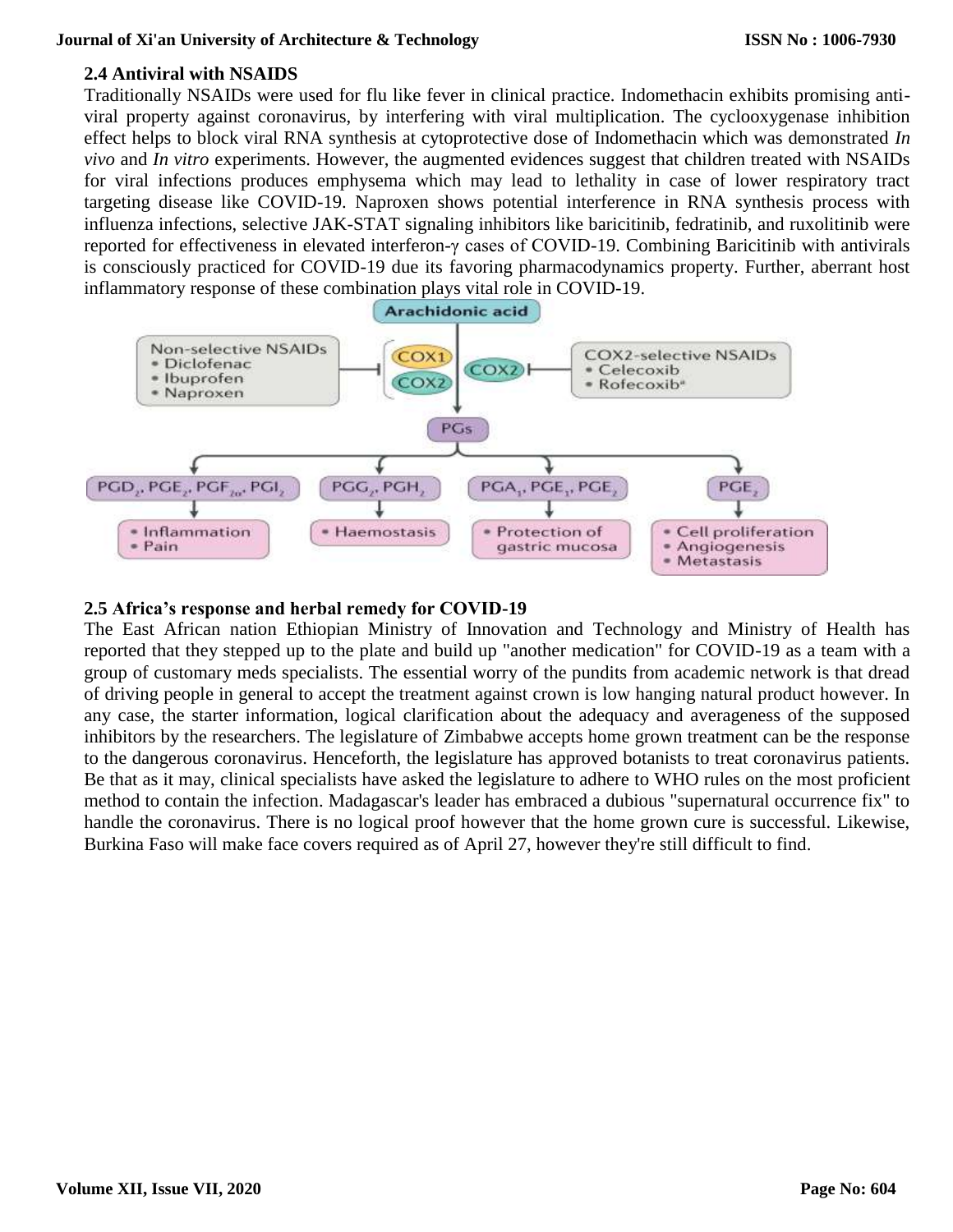#### **2.4 Antiviral with NSAIDS**

Traditionally NSAIDs were used for flu like fever in clinical practice. Indomethacin exhibits promising antiviral property against coronavirus, by interfering with viral multiplication. The cyclooxygenase inhibition effect helps to block viral RNA synthesis at cytoprotective dose of Indomethacin which was demonstrated *In vivo* and *In vitro* experiments. However, the augmented evidences suggest that children treated with NSAIDs for viral infections produces emphysema which may lead to lethality in case of lower respiratory tract targeting disease like COVID-19. Naproxen shows potential interference in RNA synthesis process with influenza infections, selective JAK-STAT signaling inhibitors like baricitinib, fedratinib, and ruxolitinib were reported for effectiveness in elevated interferon-γ cases of COVID-19. Combining Baricitinib with antivirals is consciously practiced for COVID-19 due its favoring pharmacodynamics property. Further, aberrant host inflammatory response of these combination plays vital role in COVID-19.



#### **2.5 Africa's response and herbal remedy for COVID-19**

The East African nation Ethiopian Ministry of Innovation and Technology and Ministry of Health has reported that they stepped up to the plate and build up "another medication" for COVID-19 as a team with a group of customary meds specialists. The essential worry of the pundits from academic network is that dread of driving people in general to accept the treatment against crown is low hanging natural product however. In any case, the starter information, logical clarification about the adequacy and averageness of the supposed inhibitors by the researchers. The legislature of Zimbabwe accepts home grown treatment can be the response to the dangerous coronavirus. Henceforth, the legislature has approved botanists to treat coronavirus patients. Be that as it may, clinical specialists have asked the legislature to adhere to WHO rules on the most proficient method to contain the infection. Madagascar's leader has embraced a dubious "supernatural occurrence fix" to handle the coronavirus. There is no logical proof however that the home grown cure is successful. Likewise, Burkina Faso will make face covers required as of April 27, however they're still difficult to find.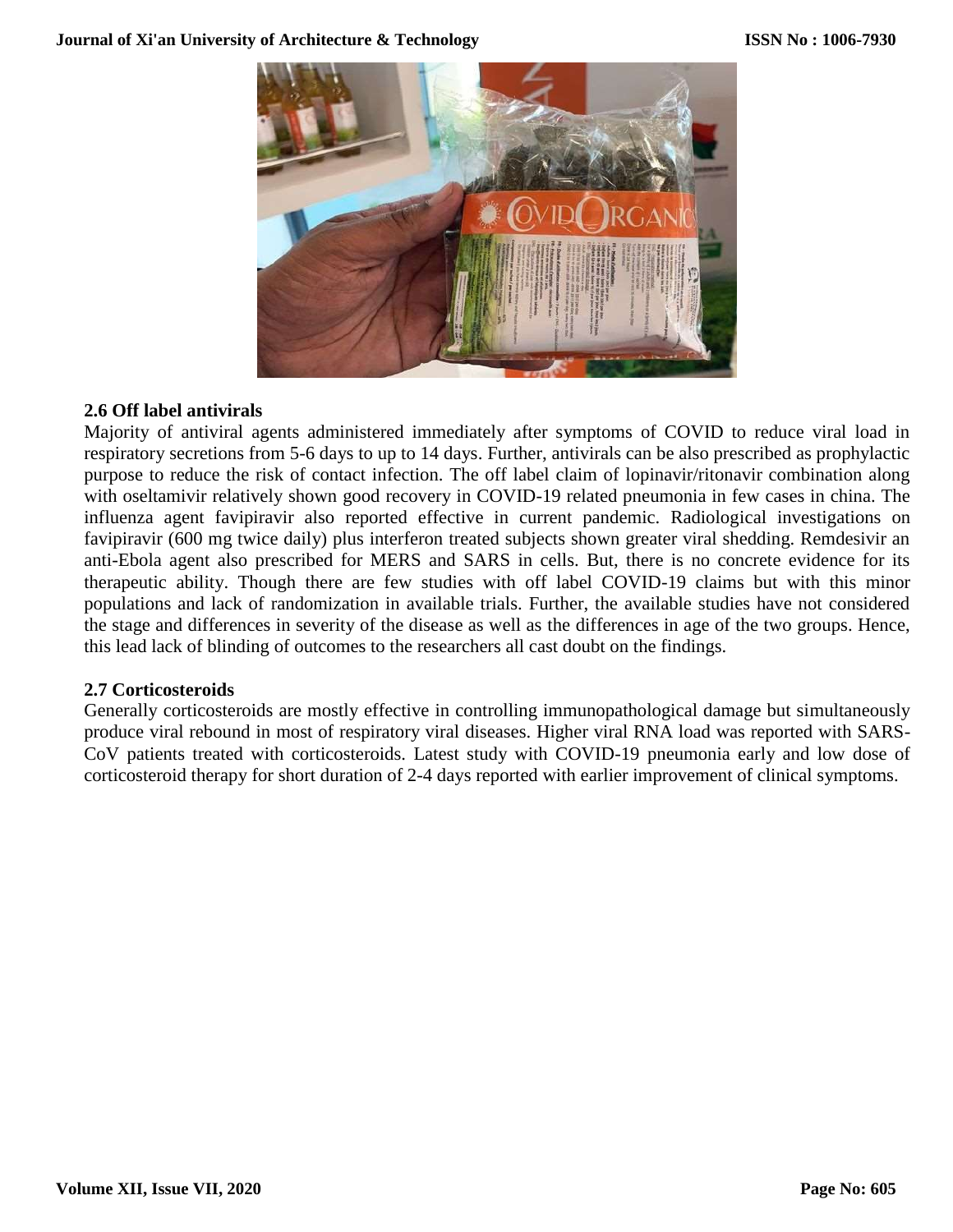

#### **2.6 Off label antivirals**

Majority of antiviral agents administered immediately after symptoms of COVID to reduce viral load in respiratory secretions from 5-6 days to up to 14 days. Further, antivirals can be also prescribed as prophylactic purpose to reduce the risk of contact infection. The off label claim of lopinavir/ritonavir combination along with oseltamivir relatively shown good recovery in COVID-19 related pneumonia in few cases in china. The influenza agent favipiravir also reported effective in current pandemic. Radiological investigations on favipiravir (600 mg twice daily) plus interferon treated subjects shown greater viral shedding. Remdesivir an anti-Ebola agent also prescribed for MERS and SARS in cells. But, there is no concrete evidence for its therapeutic ability. Though there are few studies with off label COVID-19 claims but with this minor populations and lack of randomization in available trials. Further, the available studies have not considered the stage and differences in severity of the disease as well as the differences in age of the two groups. Hence, this lead lack of blinding of outcomes to the researchers all cast doubt on the findings.

#### **2.7 Corticosteroids**

Generally corticosteroids are mostly effective in controlling immunopathological damage but simultaneously produce viral rebound in most of respiratory viral diseases. Higher viral RNA load was reported with SARS-CoV patients treated with corticosteroids. Latest study with COVID-19 pneumonia early and low dose of corticosteroid therapy for short duration of 2-4 days reported with earlier improvement of clinical symptoms.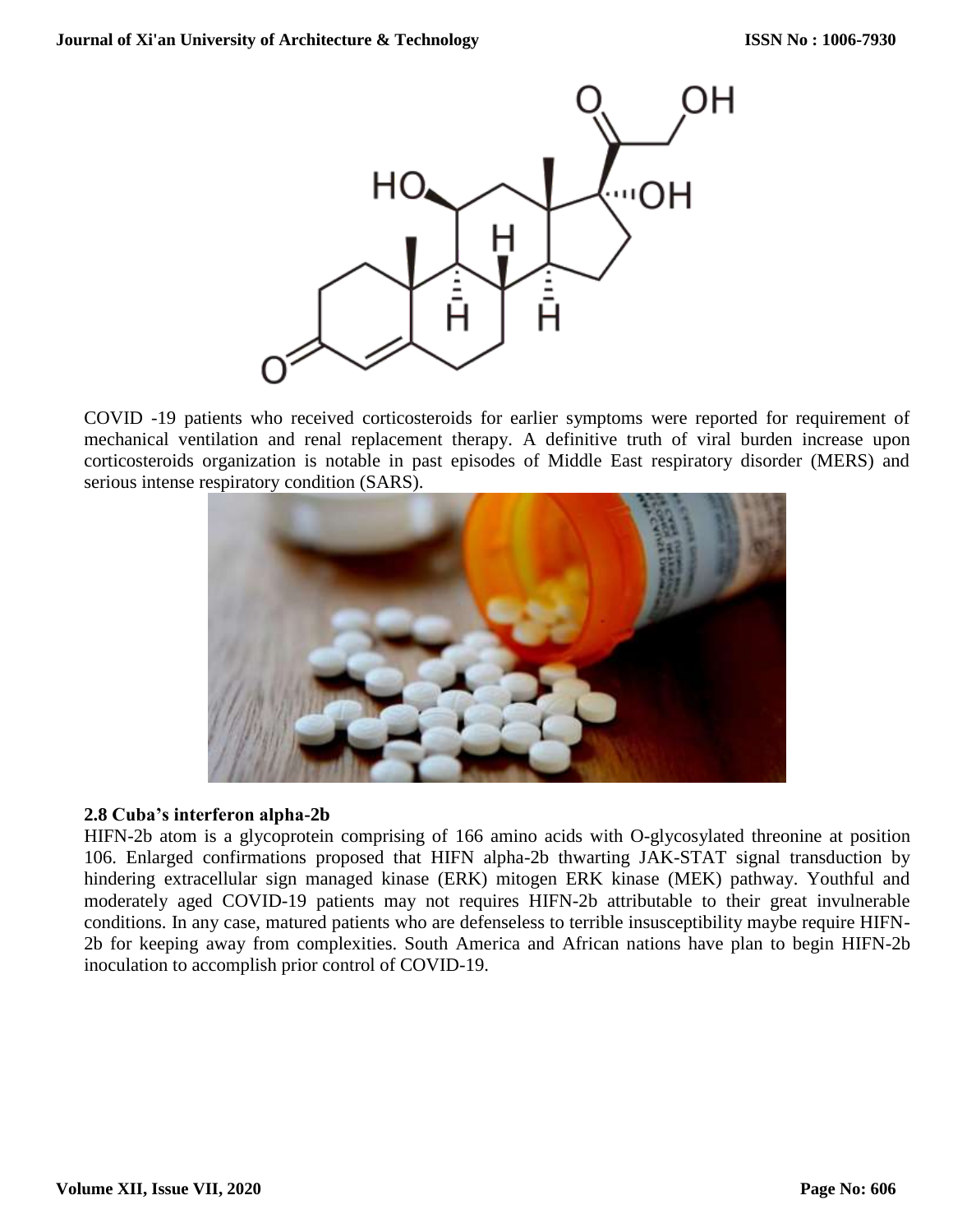

COVID -19 patients who received corticosteroids for earlier symptoms were reported for requirement of mechanical ventilation and renal replacement therapy. A definitive truth of viral burden increase upon corticosteroids organization is notable in past episodes of Middle East respiratory disorder (MERS) and serious intense respiratory condition (SARS).



#### **2.8 Cuba's interferon alpha-2b**

HIFN-2b atom is a glycoprotein comprising of 166 amino acids with O-glycosylated threonine at position 106. Enlarged confirmations proposed that HIFN alpha-2b thwarting JAK-STAT signal transduction by hindering extracellular sign managed kinase (ERK) mitogen ERK kinase (MEK) pathway. Youthful and moderately aged COVID-19 patients may not requires HIFN-2b attributable to their great invulnerable conditions. In any case, matured patients who are defenseless to terrible insusceptibility maybe require HIFN-2b for keeping away from complexities. South America and African nations have plan to begin HIFN-2b inoculation to accomplish prior control of COVID-19.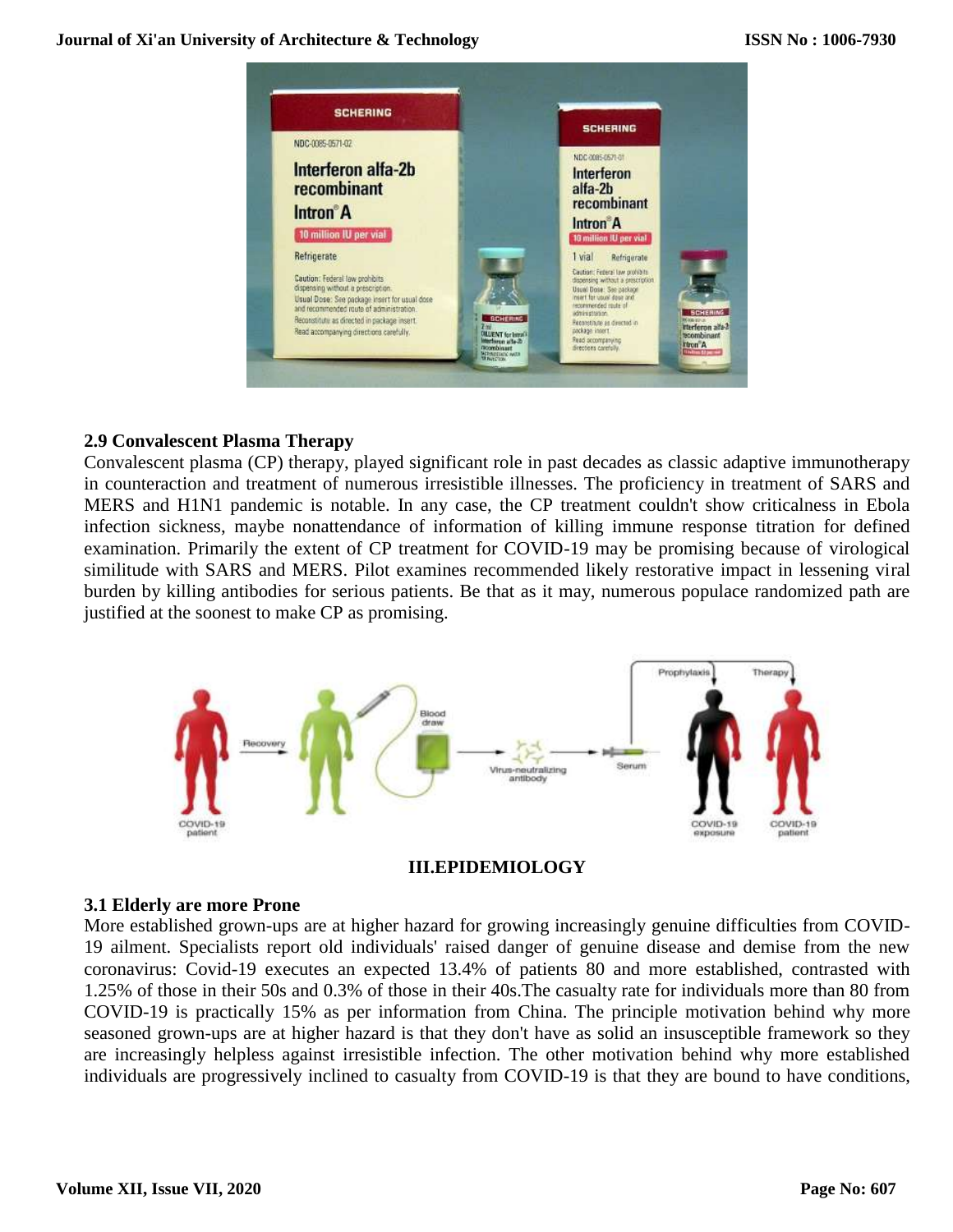

#### **2.9 Convalescent Plasma Therapy**

Convalescent plasma (CP) therapy, played significant role in past decades as classic adaptive immunotherapy in counteraction and treatment of numerous irresistible illnesses. The proficiency in treatment of SARS and MERS and H1N1 pandemic is notable. In any case, the CP treatment couldn't show criticalness in Ebola infection sickness, maybe nonattendance of information of killing immune response titration for defined examination. Primarily the extent of CP treatment for COVID-19 may be promising because of virological similitude with SARS and MERS. Pilot examines recommended likely restorative impact in lessening viral burden by killing antibodies for serious patients. Be that as it may, numerous populace randomized path are justified at the soonest to make CP as promising.



#### **III.EPIDEMIOLOGY**

#### **3.1 Elderly are more Prone**

More established grown-ups are at higher hazard for growing increasingly genuine difficulties from COVID-19 ailment. Specialists report old individuals' raised danger of genuine disease and demise from the new coronavirus: Covid-19 executes an expected 13.4% of patients 80 and more established, contrasted with 1.25% of those in their 50s and 0.3% of those in their 40s.The casualty rate for individuals more than 80 from COVID-19 is practically 15% as per information from China. The principle motivation behind why more seasoned grown-ups are at higher hazard is that they don't have as solid an insusceptible framework so they are increasingly helpless against irresistible infection. The other motivation behind why more established individuals are progressively inclined to casualty from COVID-19 is that they are bound to have conditions,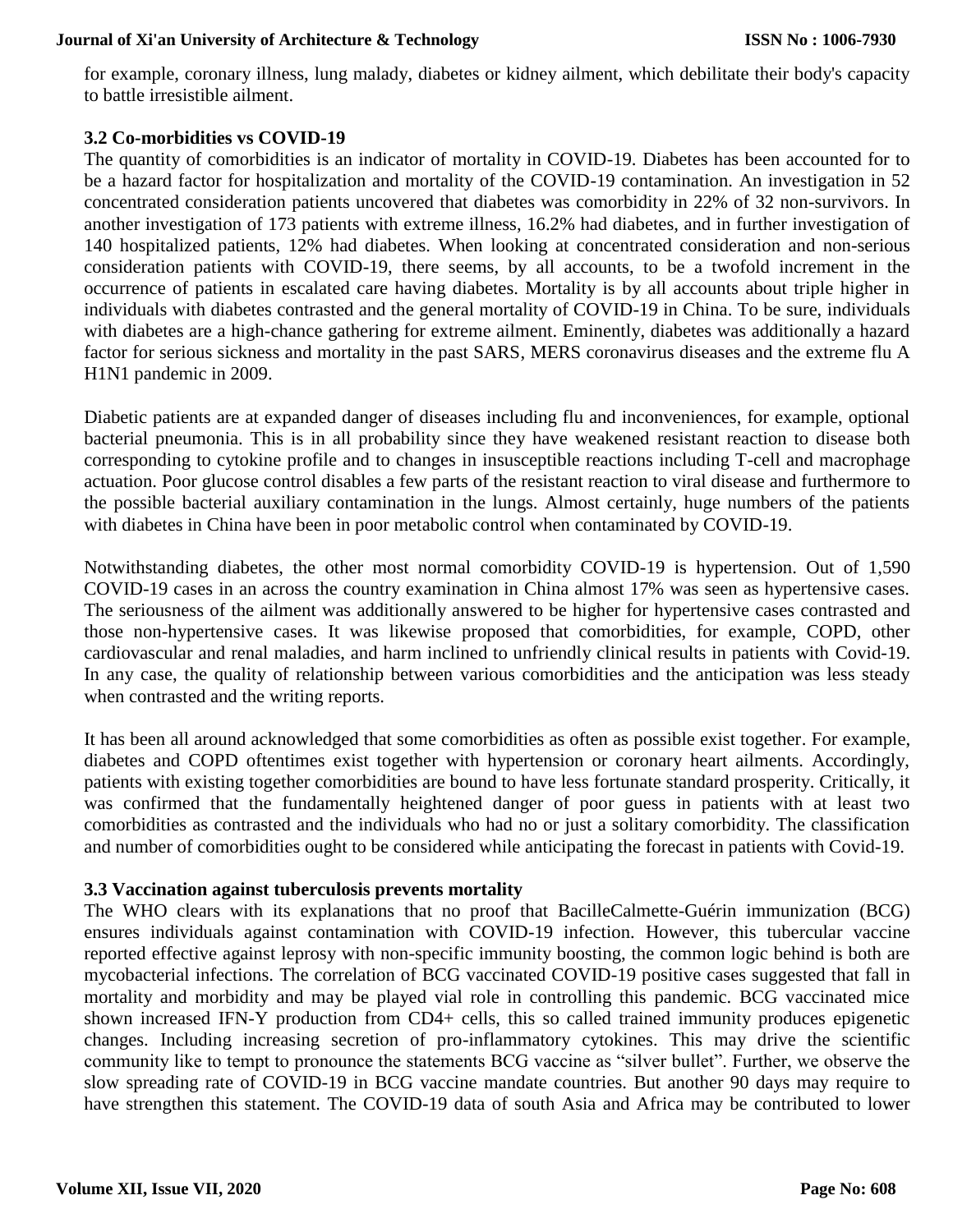for example, coronary illness, lung malady, diabetes or kidney ailment, which debilitate their body's capacity to battle irresistible ailment.

#### **3.2 Co-morbidities vs COVID-19**

The quantity of comorbidities is an indicator of mortality in COVID-19. Diabetes has been accounted for to be a hazard factor for hospitalization and mortality of the COVID-19 contamination. An investigation in 52 concentrated consideration patients uncovered that diabetes was comorbidity in 22% of 32 non-survivors. In another investigation of 173 patients with extreme illness, 16.2% had diabetes, and in further investigation of 140 hospitalized patients, 12% had diabetes. When looking at concentrated consideration and non-serious consideration patients with COVID-19, there seems, by all accounts, to be a twofold increment in the occurrence of patients in escalated care having diabetes. Mortality is by all accounts about triple higher in individuals with diabetes contrasted and the general mortality of COVID-19 in China. To be sure, individuals with diabetes are a high-chance gathering for extreme ailment. Eminently, diabetes was additionally a hazard factor for serious sickness and mortality in the past SARS, MERS coronavirus diseases and the extreme flu A H1N1 pandemic in 2009.

Diabetic patients are at expanded danger of diseases including flu and inconveniences, for example, optional bacterial pneumonia. This is in all probability since they have weakened resistant reaction to disease both corresponding to cytokine profile and to changes in insusceptible reactions including T-cell and macrophage actuation. Poor glucose control disables a few parts of the resistant reaction to viral disease and furthermore to the possible bacterial auxiliary contamination in the lungs. Almost certainly, huge numbers of the patients with diabetes in China have been in poor metabolic control when contaminated by COVID-19.

Notwithstanding diabetes, the other most normal comorbidity COVID-19 is hypertension. Out of 1,590 COVID-19 cases in an across the country examination in China almost 17% was seen as hypertensive cases. The seriousness of the ailment was additionally answered to be higher for hypertensive cases contrasted and those non-hypertensive cases. It was likewise proposed that comorbidities, for example, COPD, other cardiovascular and renal maladies, and harm inclined to unfriendly clinical results in patients with Covid-19. In any case, the quality of relationship between various comorbidities and the anticipation was less steady when contrasted and the writing reports.

It has been all around acknowledged that some comorbidities as often as possible exist together. For example, diabetes and COPD oftentimes exist together with hypertension or coronary heart ailments. Accordingly, patients with existing together comorbidities are bound to have less fortunate standard prosperity. Critically, it was confirmed that the fundamentally heightened danger of poor guess in patients with at least two comorbidities as contrasted and the individuals who had no or just a solitary comorbidity. The classification and number of comorbidities ought to be considered while anticipating the forecast in patients with Covid-19.

#### **3.3 Vaccination against tuberculosis prevents mortality**

The WHO clears with its explanations that no proof that BacilleCalmette-Guérin immunization (BCG) ensures individuals against contamination with COVID-19 infection. However, this tubercular vaccine reported effective against leprosy with non-specific immunity boosting, the common logic behind is both are mycobacterial infections. The correlation of BCG vaccinated COVID-19 positive cases suggested that fall in mortality and morbidity and may be played vial role in controlling this pandemic. BCG vaccinated mice shown increased IFN-Y production from CD4+ cells, this so called trained immunity produces epigenetic changes. Including increasing secretion of pro-inflammatory cytokines. This may drive the scientific community like to tempt to pronounce the statements BCG vaccine as "silver bullet". Further, we observe the slow spreading rate of COVID-19 in BCG vaccine mandate countries. But another 90 days may require to have strengthen this statement. The COVID-19 data of south Asia and Africa may be contributed to lower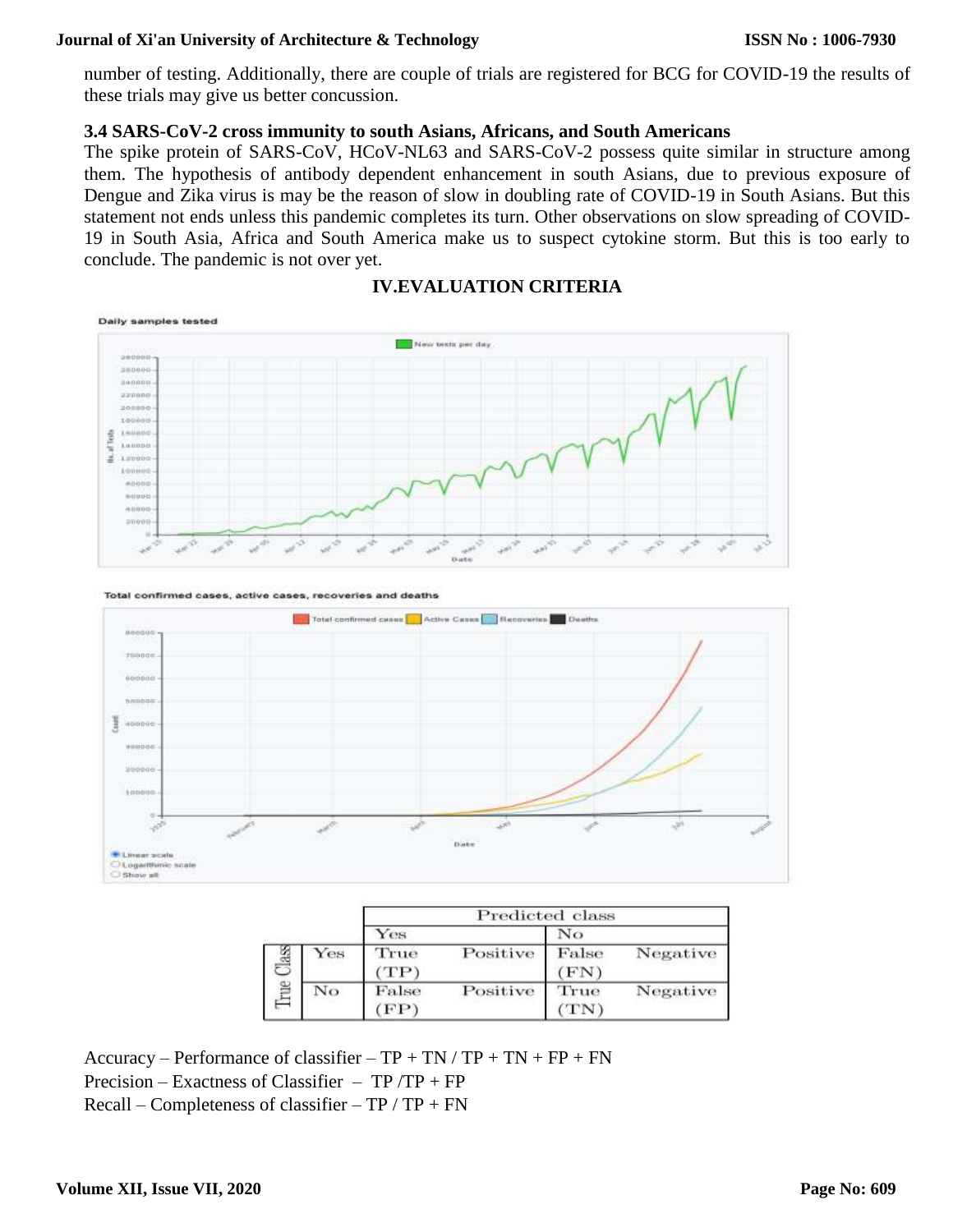number of testing. Additionally, there are couple of trials are registered for BCG for COVID-19 the results of these trials may give us better concussion.

#### **3.4 SARS-CoV-2 cross immunity to south Asians, Africans, and South Americans**

The spike protein of SARS-CoV, HCoV-NL63 and SARS-CoV-2 possess quite similar in structure among them. The hypothesis of antibody dependent enhancement in south Asians, due to previous exposure of Dengue and Zika virus is may be the reason of slow in doubling rate of COVID-19 in South Asians. But this statement not ends unless this pandemic completes its turn. Other observations on slow spreading of COVID-19 in South Asia, Africa and South America make us to suspect cytokine storm. But this is too early to conclude. The pandemic is not over yet.





Total confirmed cases, active cases, recoveries and deaths



|   |     | Predicted class |          |               |          |
|---|-----|-----------------|----------|---------------|----------|
|   |     | Yes             |          | No            |          |
| E | Yes | True<br>TP)     | Positive | False<br>(FN) | Negative |
|   | No  | False<br>(FP)   | Positive | True<br>'TN'  | Negative |

Accuracy – Performance of classifier –  $TP + TN / TP + TN + FP + FN$ Precision – Exactness of Classifier –  $TP/TP + FP$ Recall – Completeness of classifier – TP / TP + FN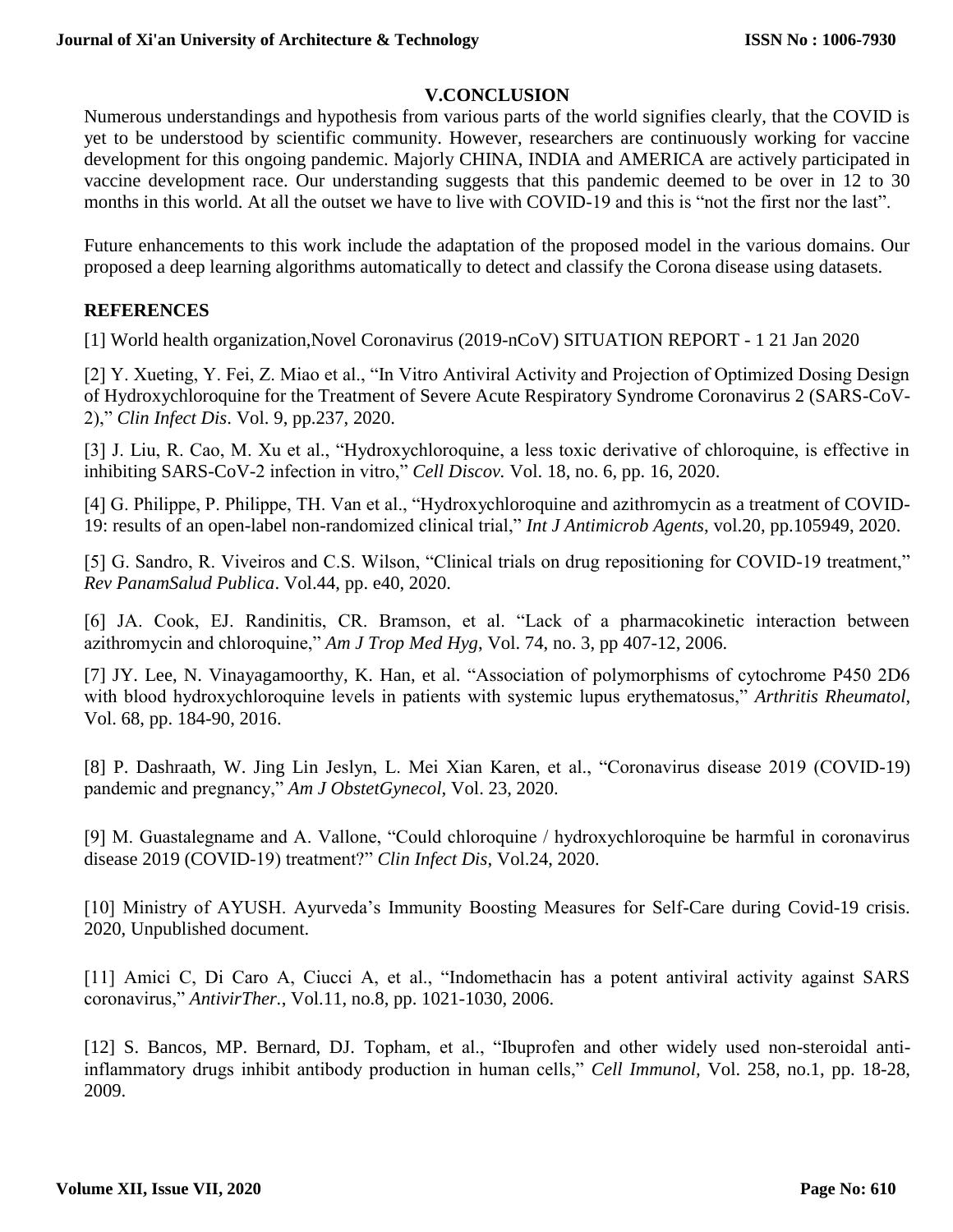#### **V.CONCLUSION**

Numerous understandings and hypothesis from various parts of the world signifies clearly, that the COVID is yet to be understood by scientific community. However, researchers are continuously working for vaccine development for this ongoing pandemic. Majorly CHINA, INDIA and AMERICA are actively participated in vaccine development race. Our understanding suggests that this pandemic deemed to be over in 12 to 30 months in this world. At all the outset we have to live with COVID-19 and this is "not the first nor the last".

Future enhancements to this work include the adaptation of the proposed model in the various domains. Our proposed a deep learning algorithms automatically to detect and classify the Corona disease using datasets.

#### **REFERENCES**

[1] World health organization,Novel Coronavirus (2019-nCoV) SITUATION REPORT - 1 21 Jan 2020

[2] Y. Xueting, Y. Fei, Z. Miao et al., "In Vitro Antiviral Activity and Projection of Optimized Dosing Design of Hydroxychloroquine for the Treatment of Severe Acute Respiratory Syndrome Coronavirus 2 (SARS-CoV-2)," *Clin Infect Dis*. Vol. 9, pp.237, 2020.

[3] J. Liu, R. Cao, M. Xu et al., "Hydroxychloroquine, a less toxic derivative of chloroquine, is effective in inhibiting SARS-CoV-2 infection in vitro," *Cell Discov.* Vol. 18, no. 6, pp. 16, 2020.

[4] G. Philippe, P. Philippe, TH. Van et al., "Hydroxychloroquine and azithromycin as a treatment of COVID-19: results of an open-label non-randomized clinical trial," *Int J Antimicrob Agents*, vol.20, pp.105949, 2020.

[5] G. Sandro, R. Viveiros and C.S. Wilson, "Clinical trials on drug repositioning for COVID-19 treatment," *Rev PanamSalud Publica*. Vol.44, pp. e40, 2020.

[6] JA. Cook, EJ. Randinitis, CR. Bramson, et al. "Lack of a pharmacokinetic interaction between azithromycin and chloroquine," *Am J Trop Med Hyg*, Vol. 74, no. 3, pp 407-12, 2006.

[7] JY. Lee, N. Vinayagamoorthy, K. Han, et al. "Association of polymorphisms of cytochrome P450 2D6 with blood hydroxychloroquine levels in patients with systemic lupus erythematosus," *Arthritis Rheumatol*, Vol. 68, pp. 184-90, 2016.

[8] P. Dashraath, W. Jing Lin Jeslyn, L. Mei Xian Karen, et al., "Coronavirus disease 2019 (COVID-19) pandemic and pregnancy," *Am J ObstetGynecol,* Vol. 23, 2020.

[9] M. Guastalegname and A. Vallone, "Could chloroquine / hydroxychloroquine be harmful in coronavirus disease 2019 (COVID-19) treatment?" *Clin Infect Dis*, Vol.24, 2020.

[10] Ministry of AYUSH. Ayurveda's Immunity Boosting Measures for Self-Care during Covid-19 crisis. 2020, Unpublished document.

[11] Amici C, Di Caro A, Ciucci A, et al., "Indomethacin has a potent antiviral activity against SARS coronavirus," *AntivirTher.*, Vol.11, no.8, pp. 1021-1030, 2006.

[12] S. Bancos, MP. Bernard, DJ. Topham, et al., "Ibuprofen and other widely used non-steroidal antiinflammatory drugs inhibit antibody production in human cells," *Cell Immunol,* Vol. 258, no.1, pp. 18-28, 2009.